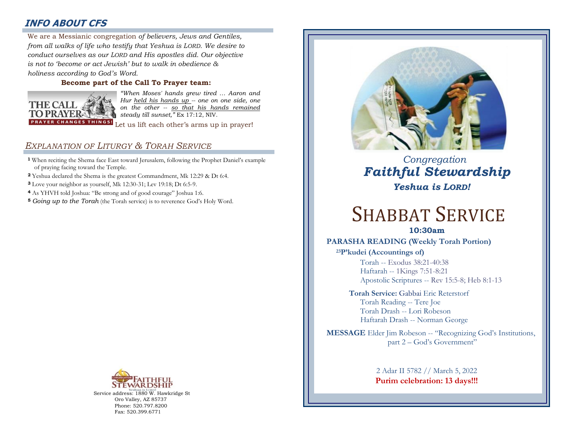# **INFO ABOUT CFS**

: *conduct ourselves as our LORD and His apostles did. Our objective*  We are a Messianic congregation *of believers, Jews and Gentiles, from all walks of life who testify that Yeshua is LORD. We desire to is not to 'become or act Jewish' but to walk in obedience & holiness according to God's Word.* 

### **Become part of the Call To Prayer team:**



*"When Moses' hands grew tired … Aaron and Hur held his hands up -- one on one side, one on the other -- so that his hands remained steady till sunset,"* Ex 17:12, NIV.

Let us lift each other's arms up in prayer!

## *EXPLANATION OF LITURGY & TORAH SERVICE*

- **<sup>1</sup>** When reciting the Shema face East toward Jerusalem, following the Prophet Daniel's example of praying facing toward the Temple.
- **<sup>2</sup>** Yeshua declared the Shema is the greatest Commandment, Mk 12:29 & Dt 6:4.
- **<sup>3</sup>** Love your neighbor as yourself, Mk 12:30-31; Lev 19:18; Dt 6:5-9.
- **<sup>4</sup>** As YHVH told Joshua: "Be strong and of good courage" Joshua 1:6.
- **<sup>5</sup>** *Going up to the Torah* (the Torah service) is to reverence God's Holy Word.



Service address: 1880 W. Hawkridge St Oro Valley, AZ 85737 Phone: 520.797.8200 Fax: 520.399.6771



# *Congregation Faithful Stewardship Yeshua is LORD!*

# SHABBAT SERVICE

## **10:30am**

### **PARASHA READING (Weekly Torah Portion)**

**<sup>23</sup>P'kudei (Accountings of)** Torah -- Exodus 38:21-40:38 Haftarah -- 1Kings 7:51-8:21 Apostolic Scriptures -- Rev 15:5-8; Heb 8:1-13

**Torah Service:** Gabbai Eric Reterstorf Torah Reading -- Tere Joe Torah Drash -- Lori Robeson Haftarah Drash -- Norman George

**MESSAGE** Elder Jim Robeson -- "Recognizing God's Institutions, part 2 – God's Government"

> 2 Adar II 5782 // March 5, 2022 **Purim celebration: 13 days!!!**